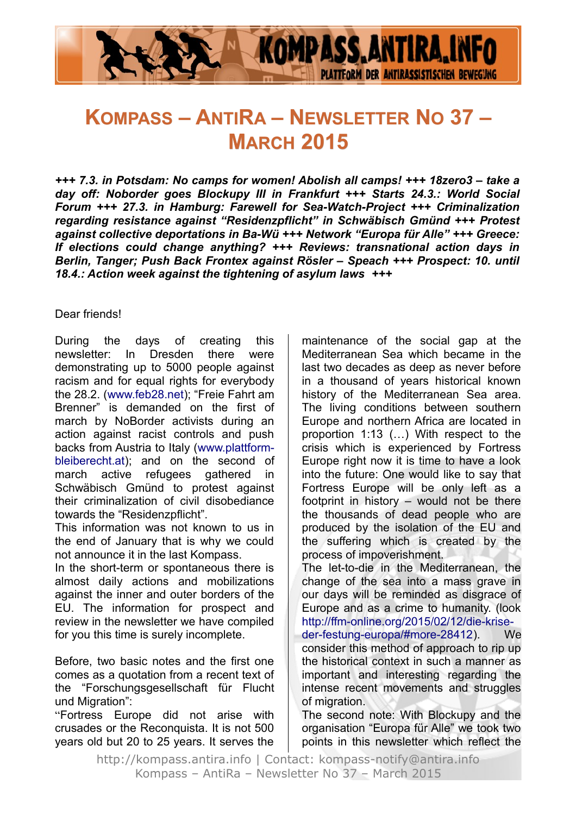

# **KOMPASS – ANTIRA – NEWSLETTER NO 37 – MARCH 2015**

*+++ 7.3. in Potsdam: No camps for women! Abolish all camps! +++ 18zero3 – take a day off: Noborder goes Blockupy III in Frankfurt +++ Starts 24.3.: World Social Forum +++ 27.3. in Hamburg: Farewell for Sea-Watch-Project +++ Criminalization regarding resistance against "Residenzpflicht" in Schwäbisch Gmünd +++ Protest against collective deportations in Ba-Wü +++ Network "Europa für Alle" +++ Greece: If elections could change anything? +++ Reviews: transnational action days in Berlin, Tanger; Push Back Frontex against Rösler – Speach +++ Prospect: 10. until 18.4.: Action week against the tightening of asylum laws +++*

#### Dear friends!

During the days of creating this newsletter: In Dresden there were demonstrating up to 5000 people against racism and for equal rights for everybody the 28.2. [\(www.feb28.net\)](http://www.feb28.net/); "Freie Fahrt am Brenner" is demanded on the first of march by NoBorder activists during an action against racist controls and push backs from Austria to Italy [\(www.plattform](http://www.plattform-bleiberecht.at/)[bleiberecht.at\)](http://www.plattform-bleiberecht.at/); and on the second of march active refugees gathered in Schwäbisch Gmünd to protest against their criminalization of civil disobediance towards the "Residenzpflicht".

This information was not known to us in the end of January that is why we could not announce it in the last Kompass.

In the short-term or spontaneous there is almost daily actions and mobilizations against the inner and outer borders of the EU. The information for prospect and review in the newsletter we have compiled for you this time is surely incomplete.

Before, two basic notes and the first one comes as a quotation from a recent text of the "Forschungsgesellschaft für Flucht und Migration":

"Fortress Europe did not arise with crusades or the Reconquista. It is not 500 years old but 20 to 25 years. It serves the maintenance of the social gap at the Mediterranean Sea which became in the last two decades as deep as never before in a thousand of years historical known history of the Mediterranean Sea area. The living conditions between southern Europe and northern Africa are located in proportion 1:13 (…) With respect to the crisis which is experienced by Fortress Europe right now it is time to have a look into the future: One would like to say that Fortress Europe will be only left as a footprint in history – would not be there the thousands of dead people who are produced by the isolation of the EU and the suffering which is created by the process of impoverishment.

The let-to-die in the Mediterranean, the change of the sea into a mass grave in our days will be reminded as disgrace of Europe and as a crime to humanity. (look [http://ffm-online.org/2015/02/12/die-krise](http://ffm-online.org/2015/02/12/die-krise-der-festung-europa/#more-28412)[der-festung-europa/#more-28412\)](http://ffm-online.org/2015/02/12/die-krise-der-festung-europa/#more-28412). We

consider this method of approach to rip up the historical context in such a manner as important and interesting regarding the intense recent movements and struggles of migration.

The second note: With Blockupy and the organisation "Europa für Alle" we took two points in this newsletter which reflect the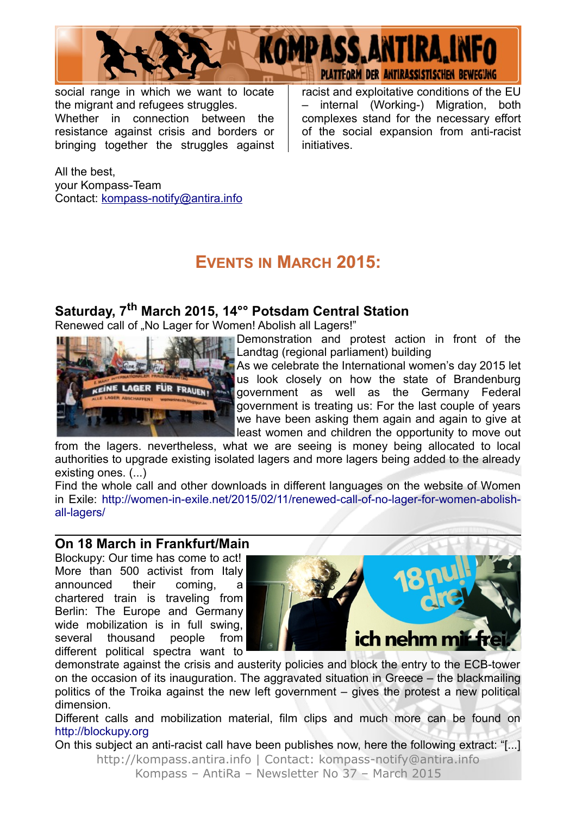

social range in which we want to locate the migrant and refugees struggles. Whether in connection between the resistance against crisis and borders or bringing together the struggles against racist and exploitative conditions of the EU – internal (Working-) Migration, both complexes stand for the necessary effort of the social expansion from anti-racist initiatives.

All the best, your Kompass-Team Contact: [kompass-notify@antira.inf](mailto:kompass-notify@antira.info)o

## **EVENTS IN MARCH 2015:**

### **Saturday, 7th March 2015, 14°° Potsdam Central Station**

Renewed call of "No Lager for Women! Abolish all Lagers!"



Demonstration and protest action in front of the Landtag (regional parliament) building

As we celebrate the International women's day 2015 let us look closely on how the state of Brandenburg **government** as well as the Germany Federal government is treating us: For the last couple of years we have been asking them again and again to give at least women and children the opportunity to move out

from the lagers. nevertheless, what we are seeing is money being allocated to local authorities to upgrade existing isolated lagers and more lagers being added to the already existing ones. (...)

Find the whole call and other downloads in different languages on the website of Women in Exile: [http://women-in-exile.net/2015/02/11/renewed-call-of-no-lager-for-women-abolish](http://women-in-exile.net/2015/02/11/renewed-call-of-no-lager-for-women-abolish-all-lagers/)[all-lagers/](http://women-in-exile.net/2015/02/11/renewed-call-of-no-lager-for-women-abolish-all-lagers/)

#### **On 18 March in Frankfurt/Main**

Blockupy: Our time has come to act! More than 500 activist from Italy announced their coming, a chartered train is traveling from Berlin: The Europe and Germany wide mobilization is in full swing, several thousand people from different political spectra want to



demonstrate against the crisis and austerity policies and block the entry to the ECB-tower on the occasion of its inauguration. The aggravated situation in Greece – the blackmailing politics of the Troika against the new left government – gives the protest a new political dimension.

Different calls and mobilization material, film clips and much more can be found on [http://blockupy.org](http://blockupy.org/)

On this subject an anti-racist call have been publishes now, here the following extract: "[...] http://kompass.antira.info | Contact: kompass-notify@antira.info Kompass – AntiRa – Newsletter No 37 – March 2015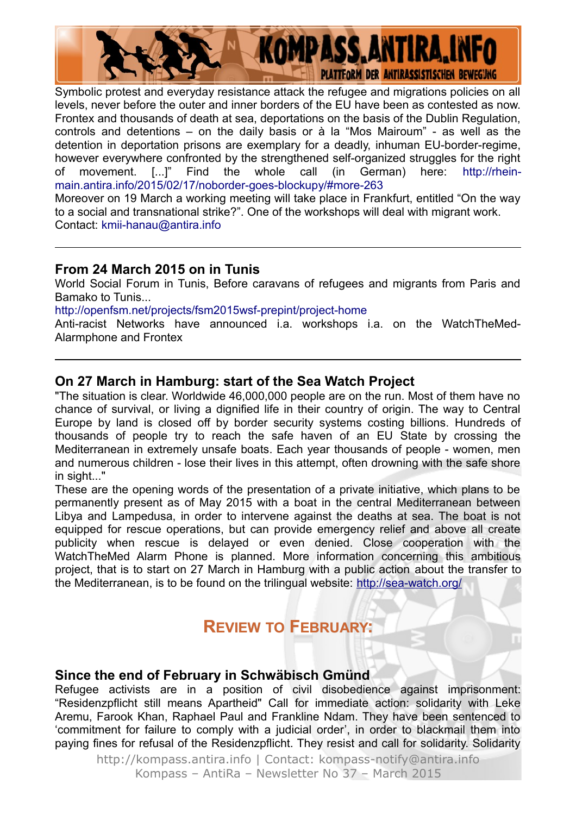

Symbolic protest and everyday resistance attack the refugee and migrations policies on all levels, never before the outer and inner borders of the EU have been as contested as now. Frontex and thousands of death at sea, deportations on the basis of the Dublin Regulation, controls and detentions – on the daily basis or à la "Mos Mairoum" - as well as the detention in deportation prisons are exemplary for a deadly, inhuman EU-border-regime, however everywhere confronted by the strengthened self-organized struggles for the right of movement. [...]" Find the whole call (in German) here: [http://rhein](http://rhein-main.antira.info/2015/02/17/noborder-goes-blockupy/#more-263)[main.antira.info/2015/02/17/noborder-goes-blockupy/#more-263](http://rhein-main.antira.info/2015/02/17/noborder-goes-blockupy/#more-263)

Moreover on 19 March a working meeting will take place in Frankfurt, entitled "On the way to a social and transnational strike?". One of the workshops will deal with migrant work. Contact: [kmii-hanau@antira.info](mailto:kmii-hanau@antira.info)

#### **From 24 March 2015 on in Tunis**

World Social Forum in Tunis, Before caravans of refugees and migrants from Paris and Bamako to Tunis...

<http://openfsm.net/projects/fsm2015wsf-prepint/project-home>

Anti-racist Networks have announced i.a. workshops i.a. on the WatchTheMed-Alarmphone and Frontex

#### **On 27 March in Hamburg: start of the Sea Watch Project**

"The situation is clear. Worldwide 46,000,000 people are on the run. Most of them have no chance of survival, or living a dignified life in their country of origin. The way to Central Europe by land is closed off by border security systems costing billions. Hundreds of thousands of people try to reach the safe haven of an EU State by crossing the Mediterranean in extremely unsafe boats. Each year thousands of people - women, men and numerous children - lose their lives in this attempt, often drowning with the safe shore in sight..."

These are the opening words of the presentation of a private initiative, which plans to be permanently present as of May 2015 with a boat in the central Mediterranean between Libya and Lampedusa, in order to intervene against the deaths at sea. The boat is not equipped for rescue operations, but can provide emergency relief and above all create publicity when rescue is delayed or even denied. Close cooperation with the WatchTheMed Alarm Phone is planned. More information concerning this ambitious project, that is to start on 27 March in Hamburg with a public action about the transfer to the Mediterranean, is to be found on the trilingual website: <http://sea-watch.org/>

### **REVIEW TO FEBRUARY:**

#### **Since the end of February in Schwäbisch Gmünd**

Refugee activists are in a position of civil disobedience against imprisonment: "Residenzpflicht still means Apartheid" Call for immediate action: solidarity with Leke Aremu, Farook Khan, Raphael Paul and Frankline Ndam. They have been sentenced to 'commitment for failure to comply with a judicial order', in order to blackmail them into paying fines for refusal of the Residenzpflicht. They resist and call for solidarity. Solidarity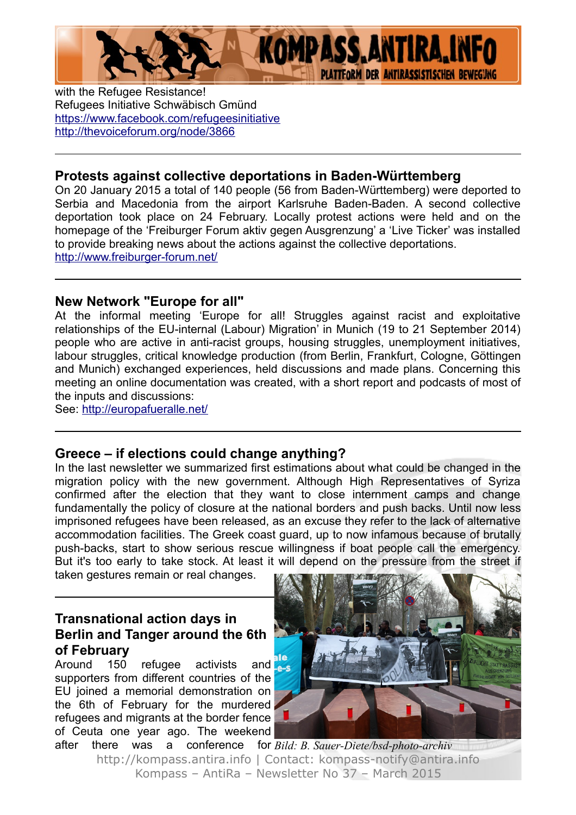

with the Refugee Resistance! Refugees Initiative Schwäbisch Gmünd <https://www.facebook.com/refugeesinitiative> <http://thevoiceforum.org/node/3866>

#### **Protests against collective deportations in Baden-Württemberg**

On 20 January 2015 a total of 140 people (56 from Baden-Württemberg) were deported to Serbia and Macedonia from the airport Karlsruhe Baden-Baden. A second collective deportation took place on 24 February. Locally protest actions were held and on the homepage of the 'Freiburger Forum aktiv gegen Ausgrenzung' a 'Live Ticker' was installed to provide breaking news about the actions against the collective deportations. <http://www.freiburger-forum.net/>

#### **New Network "Europe for all"**

At the informal meeting 'Europe for all! Struggles against racist and exploitative relationships of the EU-internal (Labour) Migration' in Munich (19 to 21 September 2014) people who are active in anti-racist groups, housing struggles, unemployment initiatives, labour struggles, critical knowledge production (from Berlin, Frankfurt, Cologne, Göttingen and Munich) exchanged experiences, held discussions and made plans. Concerning this meeting an online documentation was created, with a short report and podcasts of most of the inputs and discussions:

See:<http://europafueralle.net/>

#### **Greece – if elections could change anything?**

In the last newsletter we summarized first estimations about what could be changed in the migration policy with the new government. Although High Representatives of Syriza confirmed after the election that they want to close internment camps and change fundamentally the policy of closure at the national borders and push backs. Until now less imprisoned refugees have been released, as an excuse they refer to the lack of alternative accommodation facilities. The Greek coast guard, up to now infamous because of brutally push-backs, start to show serious rescue willingness if boat people call the emergency. But it's too early to take stock. At least it will depend on the pressure from the street if

taken gestures remain or real changes.

#### **Transnational action days in Berlin and Tanger around the 6th of February**

Around 150 refugee activists and supporters from different countries of the EU joined a memorial demonstration on the 6th of February for the murdered refugees and migrants at the border fence of Ceuta one year ago. The weekend



after there was a conference for *Bild: B. Sauer-Diete/bsd-photo-archiv*http://kompass.antira.info | Contact: kompass-notify@antira.info Kompass – AntiRa – Newsletter No 37 – March 2015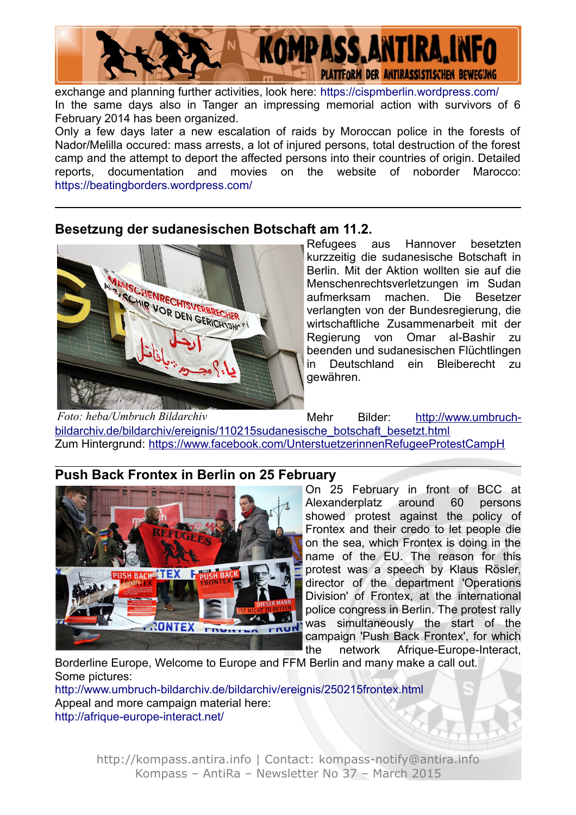

exchange and planning further activities, look here:<https://cispmberlin.wordpress.com/> In the same days also in Tanger an impressing memorial action with survivors of 6 February 2014 has been organized.

Only a few days later a new escalation of raids by Moroccan police in the forests of Nador/Melilla occured: mass arrests, a lot of injured persons, total destruction of the forest camp and the attempt to deport the affected persons into their countries of origin. Detailed reports, documentation and movies on the website of noborder Marocco: <https://beatingborders.wordpress.com/>

#### **Besetzung der sudanesischen Botschaft am 11.2.**



Refugees aus Hannover besetzten kurzzeitig die sudanesische Botschaft in Berlin. Mit der Aktion wollten sie auf die Menschenrechtsverletzungen im Sudan aufmerksam machen. Die Besetzer verlangten von der Bundesregierung, die wirtschaftliche Zusammenarbeit mit der Regierung von Omar al-Bashir zu beenden und sudanesischen Flüchtlingen in Deutschland ein Bleiberecht zu gewähren.

Mehr Bilder: [http://www.umbruch](http://www.umbruch-bildarchiv.de/bildarchiv/ereignis/110215sudanesische_botschaft_besetzt.html)[bildarchiv.de/bildarchiv/ereignis/110215sudanesische\\_botschaft\\_besetzt.html](http://www.umbruch-bildarchiv.de/bildarchiv/ereignis/110215sudanesische_botschaft_besetzt.html) Zum Hintergrund:<https://www.facebook.com/UnterstuetzerinnenRefugeeProtestCampH> *Foto: heba/Umbruch Bildarchiv*

### **Push Back Frontex in Berlin on 25 February**



On 25 February in front of BCC at Alexanderplatz around 60 persons showed protest against the policy of Frontex and their credo to let people die on the sea, which Frontex is doing in the name of the EU. The reason for this protest was a speech by Klaus Rösler, director of the department 'Operations Division' of Frontex, at the international police congress in Berlin. The protest rally was simultaneously the start of the campaign 'Push Back Frontex', for which the network Afrique-Europe-Interact,

Borderline Europe, Welcome to Europe and FFM Berlin and many make a call out. Some pictures:

<http://www.umbruch-bildarchiv.de/bildarchiv/ereignis/250215frontex.html> Appeal and more campaign material here: <http://afrique-europe-interact.net/>

> http://kompass.antira.info | Contact: kompass-notify@antira.info Kompass – AntiRa – Newsletter No 37 – March 2015